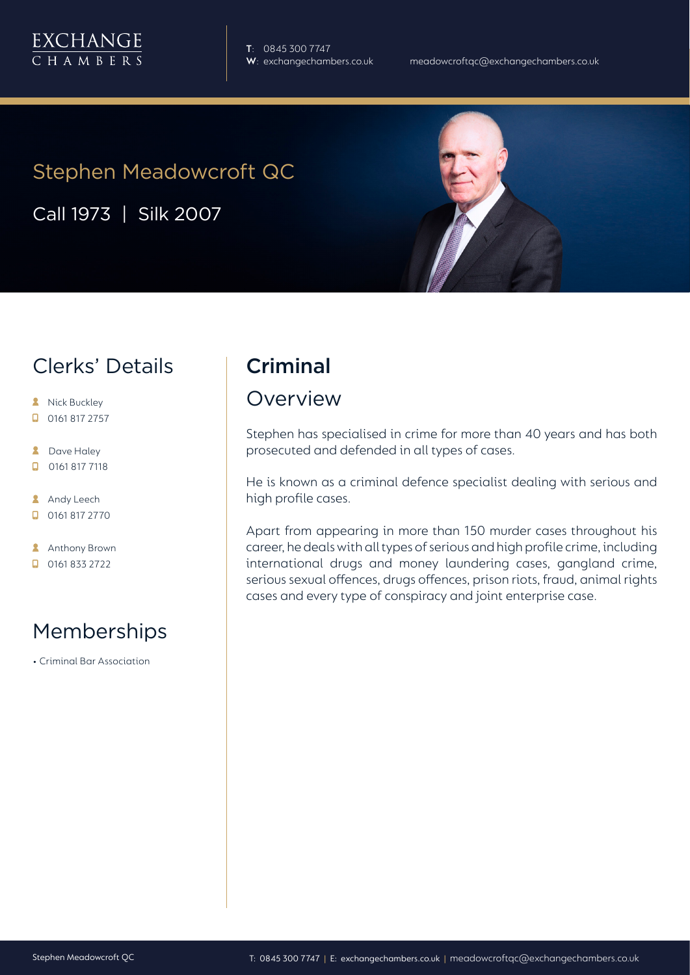

**T**: 0845 300 7747

# Stephen Meadowcroft QC

Call 1973 | Silk 2007

#### Clerks' Details

- **A** Nick Buckley
- $\Box$  0161 817 2757
- **2** Dave Haley
- $\Box$ 0161 817 7118
- **Andy Leech**
- $\Box$  0161 817 2770
- **Anthony Brown**
- 0161 833 2722

# Memberships

• Criminal Bar Association

# **Criminal**

#### Overview

Stephen has specialised in crime for more than 40 years and has both prosecuted and defended in all types of cases.

He is known as a criminal defence specialist dealing with serious and high profile cases.

Apart from appearing in more than 150 murder cases throughout his career, he deals with all types of serious and high profile crime, including international drugs and money laundering cases, gangland crime, serious sexual offences, drugs offences, prison riots, fraud, animal rights cases and every type of conspiracy and joint enterprise case.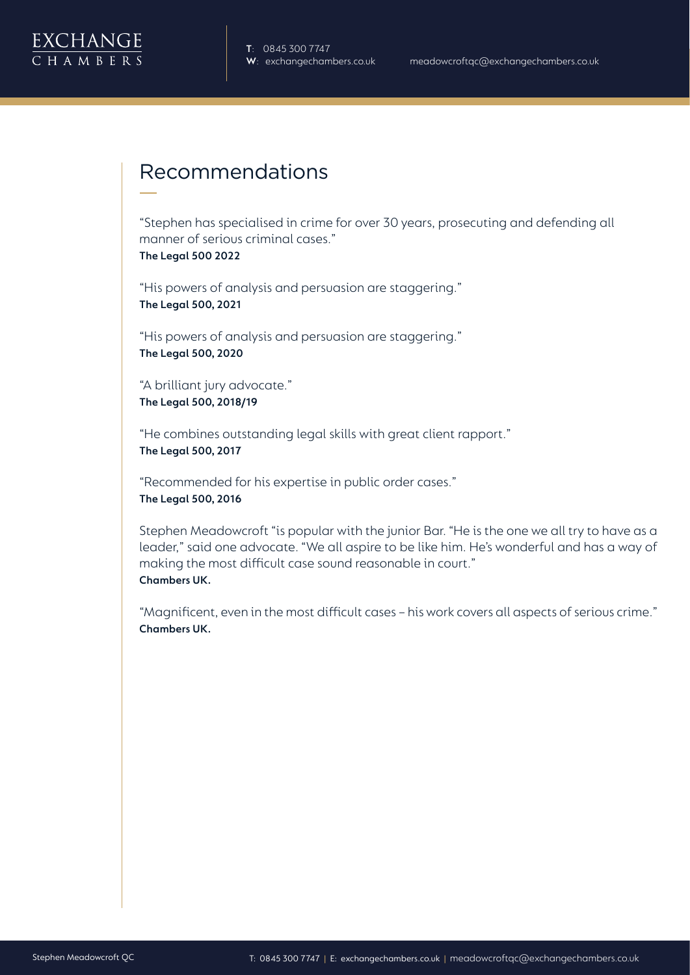

# Recommendations

"Stephen has specialised in crime for over 30 years, prosecuting and defending all manner of serious criminal cases." **The Legal 500 2022**

"His powers of analysis and persuasion are staggering." **The Legal 500, 2021**

"His powers of analysis and persuasion are staggering." **The Legal 500, 2020** 

"A brilliant jury advocate." **The Legal 500, 2018/19**

"He combines outstanding legal skills with great client rapport." **The Legal 500, 2017**

"Recommended for his expertise in public order cases." **The Legal 500, 2016**

Stephen Meadowcroft "is popular with the junior Bar. "He is the one we all try to have as a leader," said one advocate. "We all aspire to be like him. He's wonderful and has a way of making the most difficult case sound reasonable in court." **Chambers UK.**

"Magnificent, even in the most difficult cases – his work covers all aspects of serious crime." **Chambers UK.**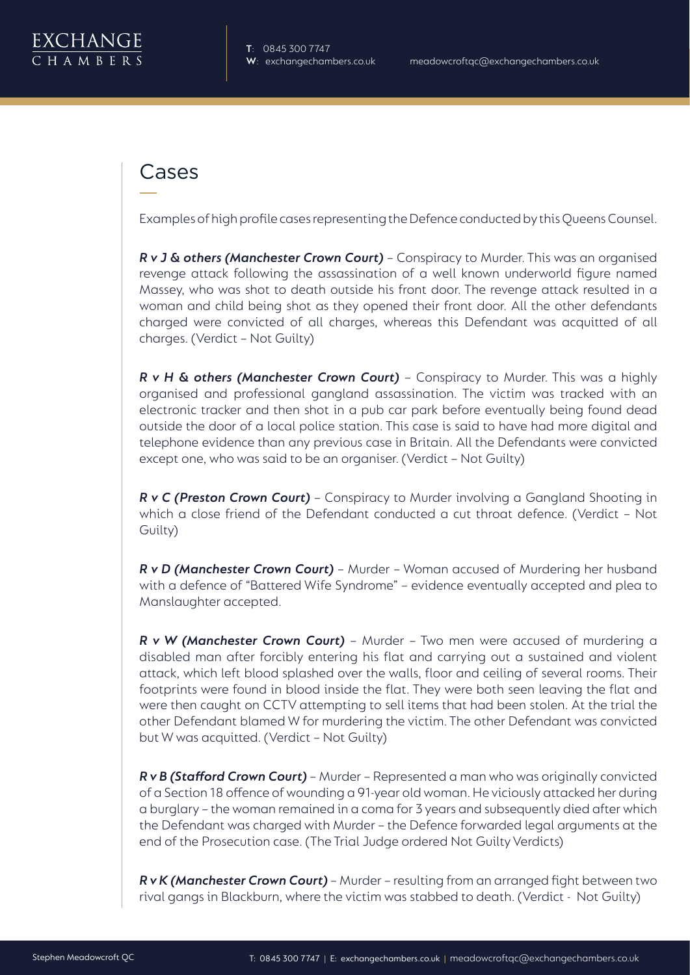

# Cases

Examples of high profile cases representing the Defence conducted by this Queens Counsel.

*R v J & others (Manchester Crown Court)* – Conspiracy to Murder. This was an organised revenge attack following the assassination of a well known underworld figure named Massey, who was shot to death outside his front door. The revenge attack resulted in a woman and child being shot as they opened their front door. All the other defendants charged were convicted of all charges, whereas this Defendant was acquitted of all charges. (Verdict – Not Guilty)

*R v H & others (Manchester Crown Court)* - Conspiracy to Murder. This was a highly organised and professional gangland assassination. The victim was tracked with an electronic tracker and then shot in a pub car park before eventually being found dead outside the door of a local police station. This case is said to have had more digital and telephone evidence than any previous case in Britain. All the Defendants were convicted except one, who was said to be an organiser. (Verdict – Not Guilty)

*R v C (Preston Crown Court)* – Conspiracy to Murder involving a Gangland Shooting in which a close friend of the Defendant conducted a cut throat defence. (Verdict – Not Guilty)

*R v D (Manchester Crown Court)* – Murder – Woman accused of Murdering her husband with a defence of "Battered Wife Syndrome" – evidence eventually accepted and plea to Manslaughter accepted.

*R v W (Manchester Crown Court)* – Murder – Two men were accused of murdering a disabled man after forcibly entering his flat and carrying out a sustained and violent attack, which left blood splashed over the walls, floor and ceiling of several rooms. Their footprints were found in blood inside the flat. They were both seen leaving the flat and were then caught on CCTV attempting to sell items that had been stolen. At the trial the other Defendant blamed W for murdering the victim. The other Defendant was convicted but W was acquitted. (Verdict – Not Guilty)

*R v B (Stafford Crown Court)* – Murder – Represented a man who was originally convicted of a Section 18 offence of wounding a 91-year old woman. He viciously attacked her during a burglary – the woman remained in a coma for 3 years and subsequently died after which the Defendant was charged with Murder – the Defence forwarded legal arguments at the end of the Prosecution case. (The Trial Judge ordered Not Guilty Verdicts)

*R v K (Manchester Crown Court)* – Murder – resulting from an arranged fight between two rival gangs in Blackburn, where the victim was stabbed to death. (Verdict - Not Guilty)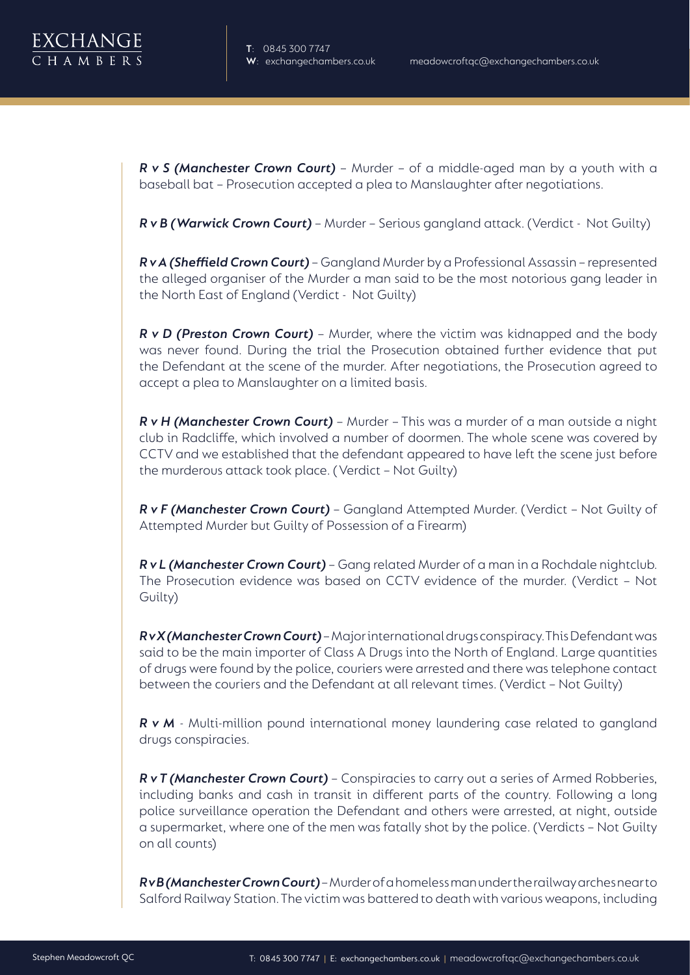

*R v S (Manchester Crown Court)* – Murder – of a middle-aged man by a youth with a baseball bat – Prosecution accepted a plea to Manslaughter after negotiations.

*R v B (Warwick Crown Court)* – Murder – Serious gangland attack. (Verdict - Not Guilty)

*R v A (Sheffield Crown Court)* – Gangland Murder by a Professional Assassin – represented the alleged organiser of the Murder a man said to be the most notorious gang leader in the North East of England (Verdict - Not Guilty)

**R v D (Preston Crown Court)** - Murder, where the victim was kidnapped and the body was never found. During the trial the Prosecution obtained further evidence that put the Defendant at the scene of the murder. After negotiations, the Prosecution agreed to accept a plea to Manslaughter on a limited basis.

*R v H (Manchester Crown Court)* – Murder – This was a murder of a man outside a night club in Radcliffe, which involved a number of doormen. The whole scene was covered by CCTV and we established that the defendant appeared to have left the scene just before the murderous attack took place. ( Verdict – Not Guilty)

*R v F (Manchester Crown Court)* – Gangland Attempted Murder. (Verdict – Not Guilty of Attempted Murder but Guilty of Possession of a Firearm)

*R v L (Manchester Crown Court)* – Gang related Murder of a man in a Rochdale nightclub. The Prosecution evidence was based on CCTV evidence of the murder. (Verdict – Not Guilty)

*R v X (Manchester Crown Court)* – Major international drugs conspiracy. This Defendant was said to be the main importer of Class A Drugs into the North of England. Large quantities of drugs were found by the police, couriers were arrested and there was telephone contact between the couriers and the Defendant at all relevant times. (Verdict – Not Guilty)

*R v M* - Multi-million pound international money laundering case related to gangland drugs conspiracies.

*R v T (Manchester Crown Court)* – Conspiracies to carry out a series of Armed Robberies, including banks and cash in transit in different parts of the country. Following a long police surveillance operation the Defendant and others were arrested, at night, outside a supermarket, where one of the men was fatally shot by the police. (Verdicts – Not Guilty on all counts)

*R v B (Manchester Crown Court)* – Murder of a homeless man under the railway arches near to Salford Railway Station. The victim was battered to death with various weapons, including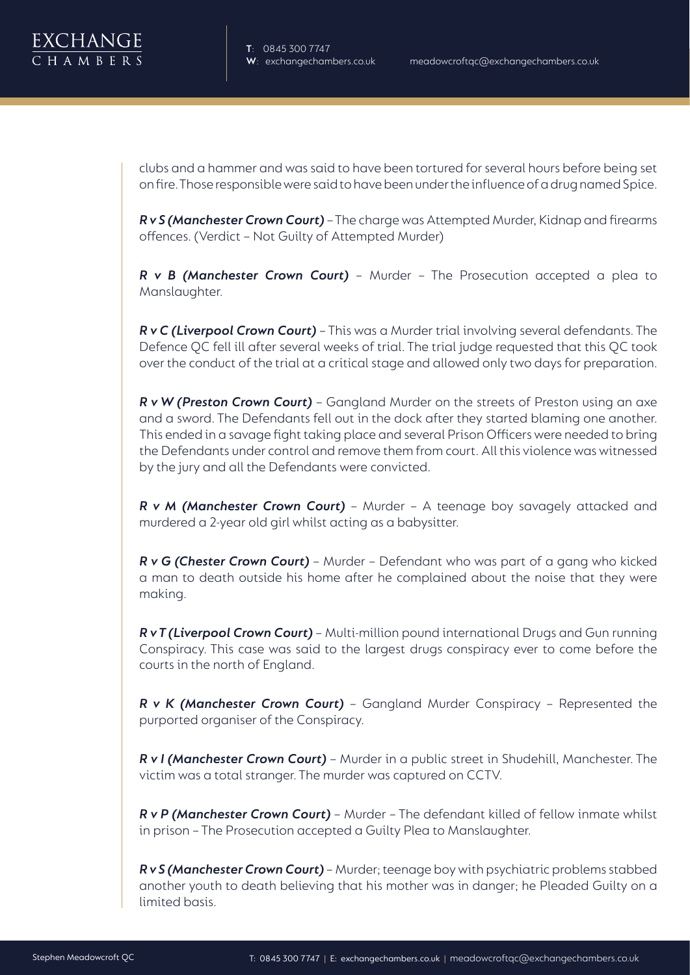

clubs and a hammer and was said to have been tortured for several hours before being set on fire. Those responsible were said to have been under the influence of a drug named Spice.

*R v S (Manchester Crown Court)* – The charge was Attempted Murder, Kidnap and firearms offences. (Verdict – Not Guilty of Attempted Murder)

*R v B (Manchester Crown Court)* – Murder – The Prosecution accepted a plea to Manslaughter.

*R v C (Liverpool Crown Court)* – This was a Murder trial involving several defendants. The Defence QC fell ill after several weeks of trial. The trial judge requested that this QC took over the conduct of the trial at a critical stage and allowed only two days for preparation.

*R v W (Preston Crown Court)* – Gangland Murder on the streets of Preston using an axe and a sword. The Defendants fell out in the dock after they started blaming one another. This ended in a savage fight taking place and several Prison Officers were needed to bring the Defendants under control and remove them from court. All this violence was witnessed by the jury and all the Defendants were convicted.

*R v M (Manchester Crown Court)* – Murder – A teenage boy savagely attacked and murdered a 2-year old girl whilst acting as a babysitter.

*R v G (Chester Crown Court)* – Murder – Defendant who was part of a gang who kicked a man to death outside his home after he complained about the noise that they were making.

*R v T (Liverpool Crown Court)* – Multi-million pound international Drugs and Gun running Conspiracy. This case was said to the largest drugs conspiracy ever to come before the courts in the north of England.

*R v K (Manchester Crown Court)* – Gangland Murder Conspiracy – Represented the purported organiser of the Conspiracy.

*R v I (Manchester Crown Court)* – Murder in a public street in Shudehill, Manchester. The victim was a total stranger. The murder was captured on CCTV.

*R v P (Manchester Crown Court)* – Murder – The defendant killed of fellow inmate whilst in prison – The Prosecution accepted a Guilty Plea to Manslaughter.

*R v S (Manchester Crown Court)* – Murder; teenage boy with psychiatric problems stabbed another youth to death believing that his mother was in danger; he Pleaded Guilty on a limited basis.